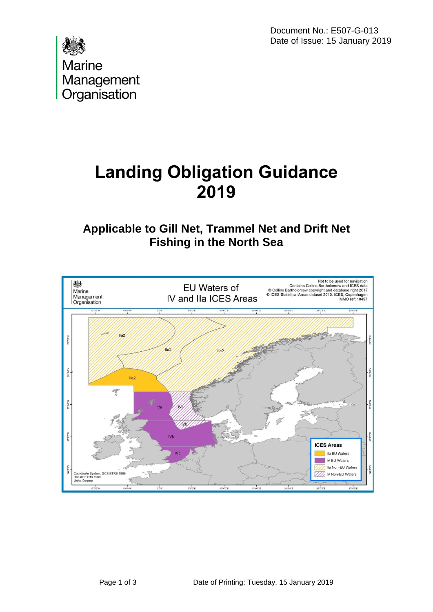Document No.: E507-G-013 Date of Issue: 15 January 2019



# **Landing Obligation Guidance 2019**

## **Applicable to Gill Net, Trammel Net and Drift Net Fishing in the North Sea**

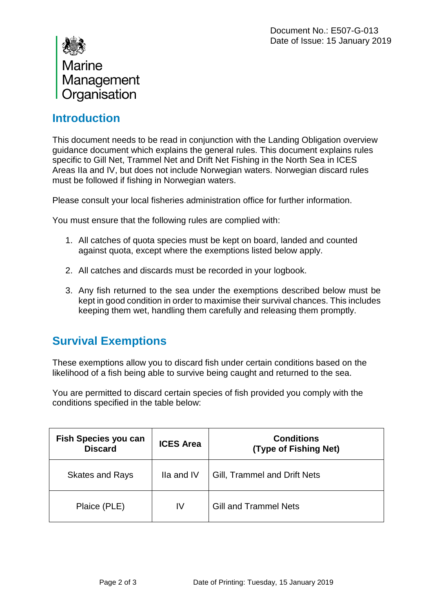| Marine       |
|--------------|
| Management   |
| Organisation |

### **Introduction**

This document needs to be read in conjunction with the Landing Obligation overview guidance document which explains the general rules. This document explains rules specific to Gill Net, Trammel Net and Drift Net Fishing in the North Sea in ICES Areas IIa and IV, but does not include Norwegian waters. Norwegian discard rules must be followed if fishing in Norwegian waters.

Please consult your local fisheries administration office for further information.

You must ensure that the following rules are complied with:

- 1. All catches of quota species must be kept on board, landed and counted against quota, except where the exemptions listed below apply.
- 2. All catches and discards must be recorded in your logbook.
- 3. Any fish returned to the sea under the exemptions described below must be kept in good condition in order to maximise their survival chances. This includes keeping them wet, handling them carefully and releasing them promptly.

#### **Survival Exemptions**

These exemptions allow you to discard fish under certain conditions based on the likelihood of a fish being able to survive being caught and returned to the sea.

You are permitted to discard certain species of fish provided you comply with the conditions specified in the table below:

| Fish Species you can<br><b>Discard</b> | <b>ICES Area</b> | <b>Conditions</b><br>(Type of Fishing Net) |
|----------------------------------------|------------------|--------------------------------------------|
| <b>Skates and Rays</b>                 | Ila and IV       | Gill, Trammel and Drift Nets               |
| Plaice (PLE)                           | IV               | <b>Gill and Trammel Nets</b>               |